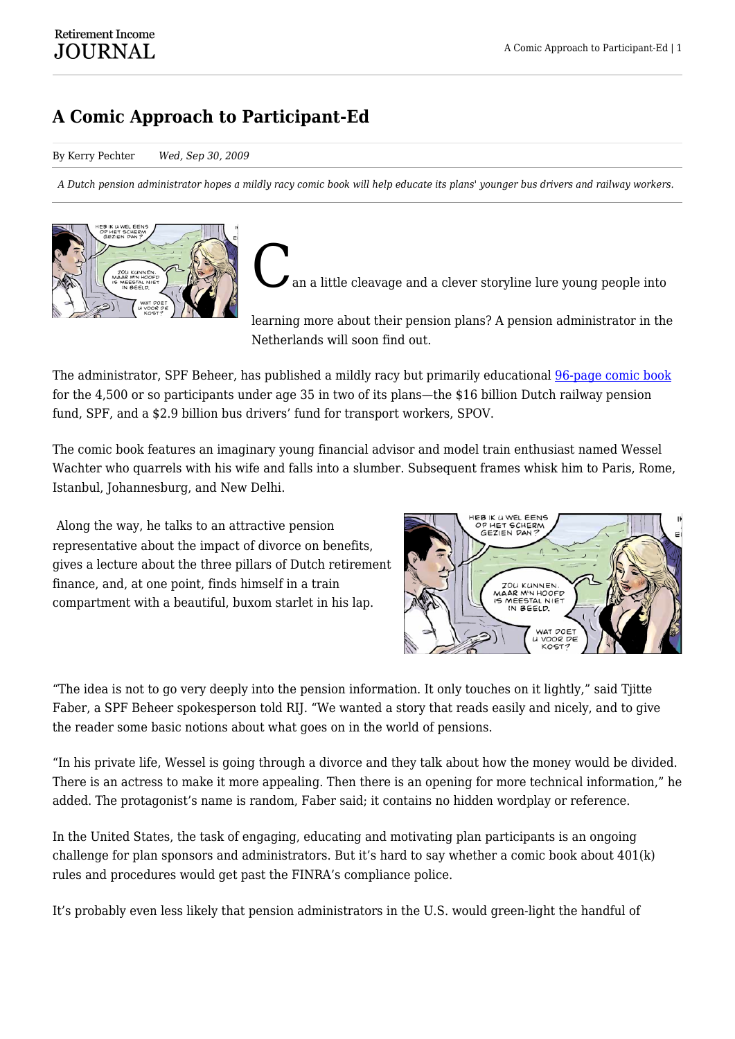## **A Comic Approach to Participant-Ed**

By Kerry Pechter *Wed, Sep 30, 2009*

*A Dutch pension administrator hopes a mildly racy comic book will help educate its plans' younger bus drivers and railway workers.*



an a little cleavage and a clever storyline lure young people into

learning more about their pension plans? A pension administrator in the Netherlands will soon find out.

The administrator, SPF Beheer, has published a mildly racy but primarily educational [96-page comic book](http://www.wesselwachter.nl/) for the 4,500 or so participants under age 35 in two of its plans—the \$16 billion Dutch railway pension fund, SPF, and a \$2.9 billion bus drivers' fund for transport workers, SPOV.

The comic book features an imaginary young financial advisor and model train enthusiast named Wessel Wachter who quarrels with his wife and falls into a slumber. Subsequent frames whisk him to Paris, Rome, Istanbul, Johannesburg, and New Delhi.

Along the way, he talks to an attractive pension representative about the impact of divorce on benefits, gives a lecture about the three pillars of Dutch retirement finance, and, at one point, finds himself in a train compartment with a beautiful, buxom starlet in his lap.



"The idea is not to go very deeply into the pension information. It only touches on it lightly," said Tjitte Faber, a SPF Beheer spokesperson told RIJ. "We wanted a story that reads easily and nicely, and to give the reader some basic notions about what goes on in the world of pensions.

"In his private life, Wessel is going through a divorce and they talk about how the money would be divided. There is an actress to make it more appealing. Then there is an opening for more technical information," he added. The protagonist's name is random, Faber said; it contains no hidden wordplay or reference.

In the United States, the task of engaging, educating and motivating plan participants is an ongoing challenge for plan sponsors and administrators. But it's hard to say whether a comic book about 401(k) rules and procedures would get past the FINRA's compliance police.

It's probably even less likely that pension administrators in the U.S. would green-light the handful of